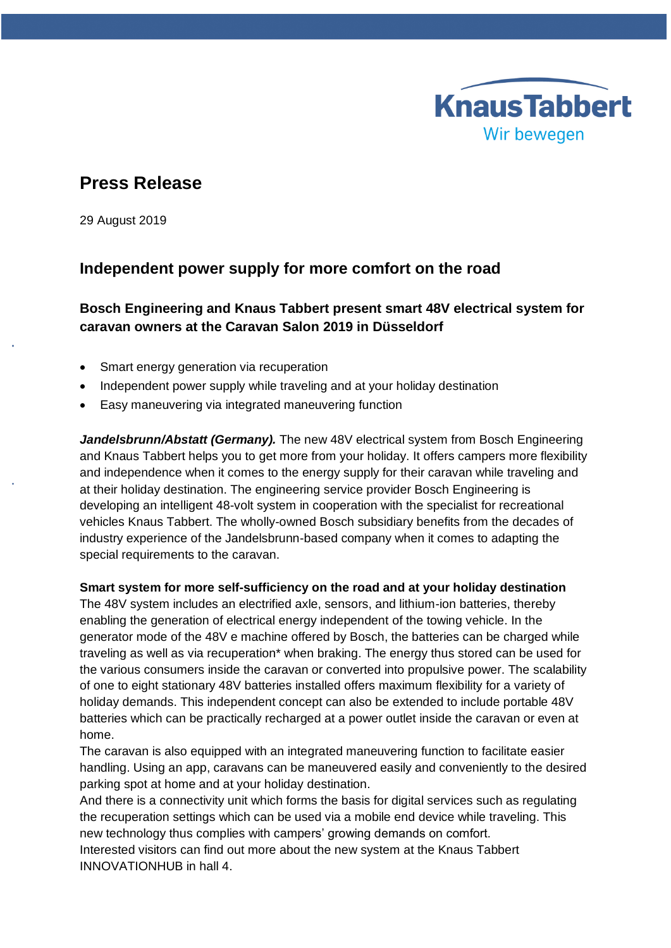# **KnausTabbert** Wir bewegen

# **Press Release**

29 August 2019

# **Independent power supply for more comfort on the road**

# **Bosch Engineering and Knaus Tabbert present smart 48V electrical system for caravan owners at the Caravan Salon 2019 in Düsseldorf**

- Smart energy generation via recuperation
- Independent power supply while traveling and at your holiday destination
- Easy maneuvering via integrated maneuvering function

*Jandelsbrunn/Abstatt (Germany).* The new 48V electrical system from Bosch Engineering and Knaus Tabbert helps you to get more from your holiday. It offers campers more flexibility and independence when it comes to the energy supply for their caravan while traveling and at their holiday destination. The engineering service provider Bosch Engineering is developing an intelligent 48-volt system in cooperation with the specialist for recreational vehicles Knaus Tabbert. The wholly-owned Bosch subsidiary benefits from the decades of industry experience of the Jandelsbrunn-based company when it comes to adapting the special requirements to the caravan.

## **Smart system for more self-sufficiency on the road and at your holiday destination**

The 48V system includes an electrified axle, sensors, and lithium-ion batteries, thereby enabling the generation of electrical energy independent of the towing vehicle. In the generator mode of the 48V e machine offered by Bosch, the batteries can be charged while traveling as well as via recuperation\* when braking. The energy thus stored can be used for the various consumers inside the caravan or converted into propulsive power. The scalability of one to eight stationary 48V batteries installed offers maximum flexibility for a variety of holiday demands. This independent concept can also be extended to include portable 48V batteries which can be practically recharged at a power outlet inside the caravan or even at home.

The caravan is also equipped with an integrated maneuvering function to facilitate easier handling. Using an app, caravans can be maneuvered easily and conveniently to the desired parking spot at home and at your holiday destination.

And there is a connectivity unit which forms the basis for digital services such as regulating the recuperation settings which can be used via a mobile end device while traveling. This new technology thus complies with campers' growing demands on comfort.

Interested visitors can find out more about the new system at the Knaus Tabbert INNOVATIONHUB in hall 4.